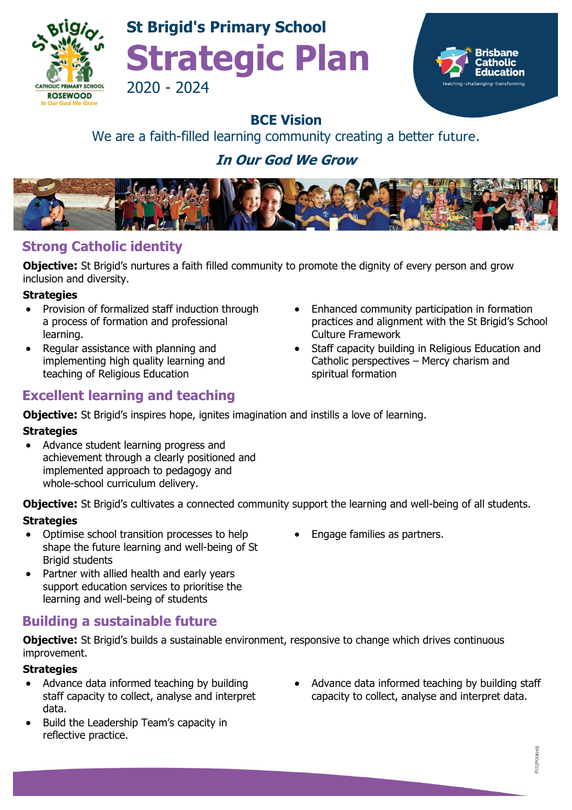

## **St Brigid's Primary School Strategic Plan** 2020 - 2024



### **BCE Vision**

## We are a faith-filled learning community creating a better future.

## **In Our God We Grow**



## **Strong Catholic identity**

**Objective:** St Brigid's nurtures a faith filled community to promote the dignity of every person and grow inclusion and diversity.

#### **Strategies**

- Provision of formalized staff induction through a process of formation and professional learning.
- Regular assistance with planning and implementing high quality learning and teaching of Religious Education
- **Excellent learning and teaching**
- Enhanced community participation in formation practices and alignment with the St Brigid's School Culture Framework
- Staff capacity building in Religious Education and Catholic perspectives – Mercy charism and spiritual formation

**Objective:** St Brigid's inspires hope, ignites imagination and instills a love of learning.

#### **Strategies**

• Advance student learning progress and achievement through a clearly positioned and implemented approach to pedagogy and whole-school curriculum delivery.

**Objective:** St Brigid's cultivates a connected community support the learning and well-being of all students.

#### **Strategies**

- Optimise school transition processes to help shape the future learning and well-being of St Brigid students
- Partner with allied health and early years support education services to prioritise the learning and well-being of students

## **Building a sustainable future**

**Objective:** St Brigid's builds a sustainable environment, responsive to change which drives continuous improvement.

#### **Strategies**

- Advance data informed teaching by building staff capacity to collect, analyse and interpret data.
- Build the Leadership Team's capacity in reflective practice.

• Engage families as partners.

Advance data informed teaching by building staff capacity to collect, analyse and interpret data.